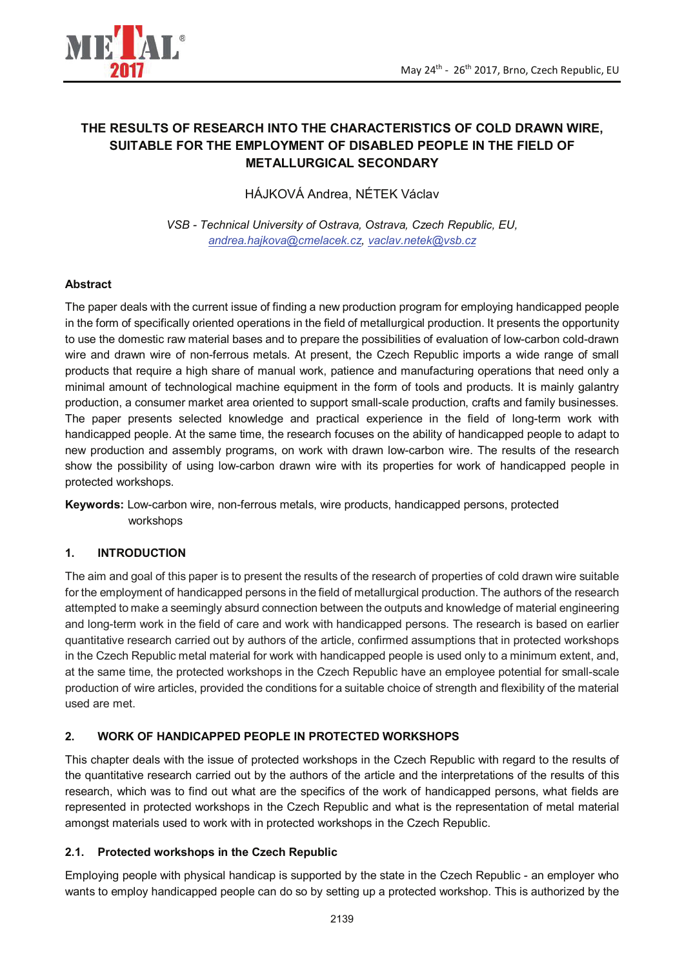

# **THE RESULTS OF RESEARCH INTO THE CHARACTERISTICS OF COLD DRAWN WIRE, SUITABLE FOR THE EMPLOYMENT OF DISABLED PEOPLE IN THE FIELD OF METALLURGICAL SECONDARY**

HÁJKOVÁ Andrea, NÉTEK Václav

*VSB - Technical University of Ostrava, Ostrava, Czech Republic, EU, andrea.hajkova@cmelacek.cz, vaclav.netek@vsb.cz* 

## **Abstract**

The paper deals with the current issue of finding a new production program for employing handicapped people in the form of specifically oriented operations in the field of metallurgical production. It presents the opportunity to use the domestic raw material bases and to prepare the possibilities of evaluation of low-carbon cold-drawn wire and drawn wire of non-ferrous metals. At present, the Czech Republic imports a wide range of small products that require a high share of manual work, patience and manufacturing operations that need only a minimal amount of technological machine equipment in the form of tools and products. It is mainly galantry production, a consumer market area oriented to support small-scale production, crafts and family businesses. The paper presents selected knowledge and practical experience in the field of long-term work with handicapped people. At the same time, the research focuses on the ability of handicapped people to adapt to new production and assembly programs, on work with drawn low-carbon wire. The results of the research show the possibility of using low-carbon drawn wire with its properties for work of handicapped people in protected workshops.

**Keywords:** Low-carbon wire, non-ferrous metals, wire products, handicapped persons, protected workshops

#### **1. INTRODUCTION**

The aim and goal of this paper is to present the results of the research of properties of cold drawn wire suitable for the employment of handicapped persons in the field of metallurgical production. The authors of the research attempted to make a seemingly absurd connection between the outputs and knowledge of material engineering and long-term work in the field of care and work with handicapped persons. The research is based on earlier quantitative research carried out by authors of the article, confirmed assumptions that in protected workshops in the Czech Republic metal material for work with handicapped people is used only to a minimum extent, and, at the same time, the protected workshops in the Czech Republic have an employee potential for small-scale production of wire articles, provided the conditions for a suitable choice of strength and flexibility of the material used are met.

## **2. WORK OF HANDICAPPED PEOPLE IN PROTECTED WORKSHOPS**

This chapter deals with the issue of protected workshops in the Czech Republic with regard to the results of the quantitative research carried out by the authors of the article and the interpretations of the results of this research, which was to find out what are the specifics of the work of handicapped persons, what fields are represented in protected workshops in the Czech Republic and what is the representation of metal material amongst materials used to work with in protected workshops in the Czech Republic.

#### **2.1. Protected workshops in the Czech Republic**

Employing people with physical handicap is supported by the state in the Czech Republic - an employer who wants to employ handicapped people can do so by setting up a protected workshop. This is authorized by the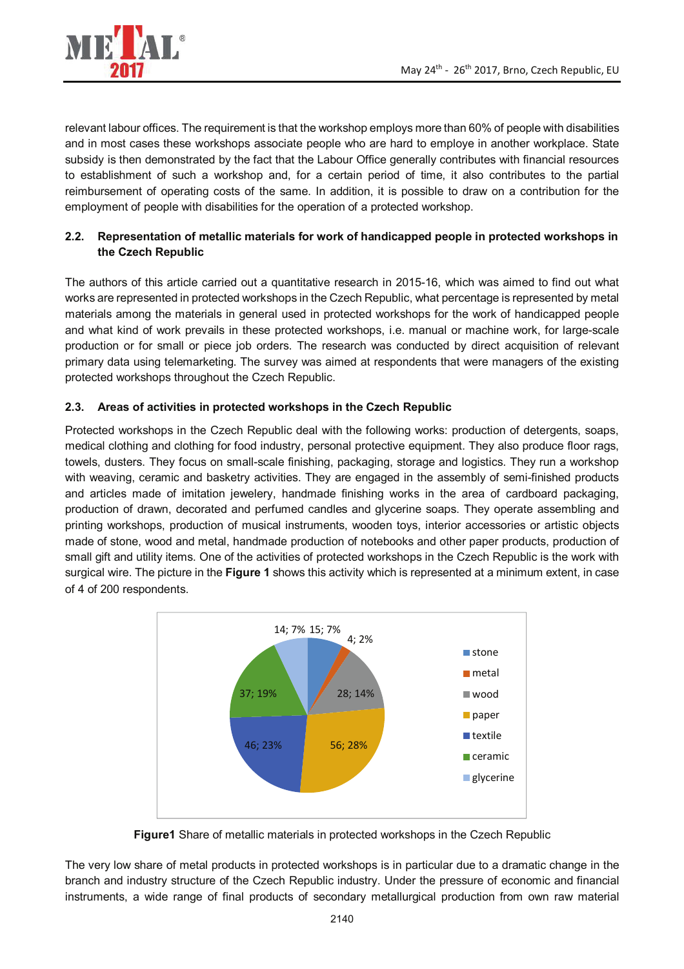

relevant labour offices. The requirement is that the workshop employs more than 60% of people with disabilities and in most cases these workshops associate people who are hard to employe in another workplace. State subsidy is then demonstrated by the fact that the Labour Office generally contributes with financial resources to establishment of such a workshop and, for a certain period of time, it also contributes to the partial reimbursement of operating costs of the same. In addition, it is possible to draw on a contribution for the employment of people with disabilities for the operation of a protected workshop.

## **2.2. Representation of metallic materials for work of handicapped people in protected workshops in the Czech Republic**

The authors of this article carried out a quantitative research in 2015-16, which was aimed to find out what works are represented in protected workshops in the Czech Republic, what percentage is represented by metal materials among the materials in general used in protected workshops for the work of handicapped people and what kind of work prevails in these protected workshops, i.e. manual or machine work, for large-scale production or for small or piece job orders. The research was conducted by direct acquisition of relevant primary data using telemarketing. The survey was aimed at respondents that were managers of the existing protected workshops throughout the Czech Republic.

# **2.3. Areas of activities in protected workshops in the Czech Republic**

Protected workshops in the Czech Republic deal with the following works: production of detergents, soaps, medical clothing and clothing for food industry, personal protective equipment. They also produce floor rags, towels, dusters. They focus on small-scale finishing, packaging, storage and logistics. They run a workshop with weaving, ceramic and basketry activities. They are engaged in the assembly of semi-finished products and articles made of imitation jewelery, handmade finishing works in the area of cardboard packaging, production of drawn, decorated and perfumed candles and glycerine soaps. They operate assembling and printing workshops, production of musical instruments, wooden toys, interior accessories or artistic objects made of stone, wood and metal, handmade production of notebooks and other paper products, production of small gift and utility items. One of the activities of protected workshops in the Czech Republic is the work with surgical wire. The picture in the **Figure 1** shows this activity which is represented at a minimum extent, in case of 4 of 200 respondents.



**Figure1** Share of metallic materials in protected workshops in the Czech Republic

The very low share of metal products in protected workshops is in particular due to a dramatic change in the branch and industry structure of the Czech Republic industry. Under the pressure of economic and financial instruments, a wide range of final products of secondary metallurgical production from own raw material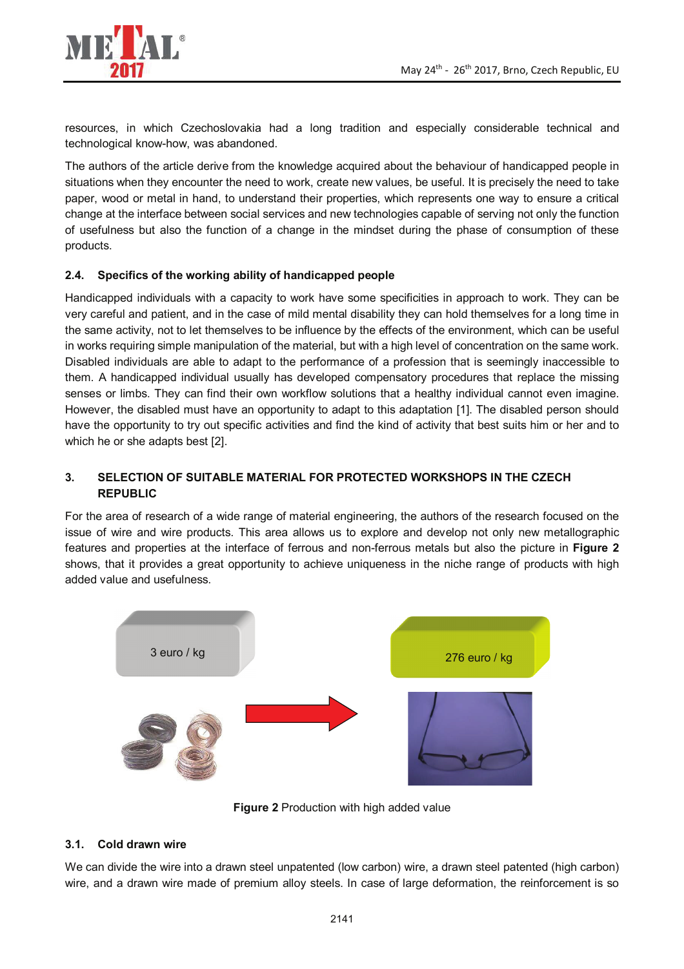

resources, in which Czechoslovakia had a long tradition and especially considerable technical and technological know-how, was abandoned.

The authors of the article derive from the knowledge acquired about the behaviour of handicapped people in situations when they encounter the need to work, create new values, be useful. It is precisely the need to take paper, wood or metal in hand, to understand their properties, which represents one way to ensure a critical change at the interface between social services and new technologies capable of serving not only the function of usefulness but also the function of a change in the mindset during the phase of consumption of these products.

## **2.4. Specifics of the working ability of handicapped people**

Handicapped individuals with a capacity to work have some specificities in approach to work. They can be very careful and patient, and in the case of mild mental disability they can hold themselves for a long time in the same activity, not to let themselves to be influence by the effects of the environment, which can be useful in works requiring simple manipulation of the material, but with a high level of concentration on the same work. Disabled individuals are able to adapt to the performance of a profession that is seemingly inaccessible to them. A handicapped individual usually has developed compensatory procedures that replace the missing senses or limbs. They can find their own workflow solutions that a healthy individual cannot even imagine. However, the disabled must have an opportunity to adapt to this adaptation [1]. The disabled person should have the opportunity to try out specific activities and find the kind of activity that best suits him or her and to which he or she adapts best [2].

# **3. SELECTION OF SUITABLE MATERIAL FOR PROTECTED WORKSHOPS IN THE CZECH REPUBLIC**

For the area of research of a wide range of material engineering, the authors of the research focused on the issue of wire and wire products. This area allows us to explore and develop not only new metallographic features and properties at the interface of ferrous and non-ferrous metals but also the picture in **Figure 2** shows, that it provides a great opportunity to achieve uniqueness in the niche range of products with high added value and usefulness.



**Figure 2** Production with high added value

## **3.1. Cold drawn wire**

We can divide the wire into a drawn steel unpatented (low carbon) wire, a drawn steel patented (high carbon) wire, and a drawn wire made of premium alloy steels. In case of large deformation, the reinforcement is so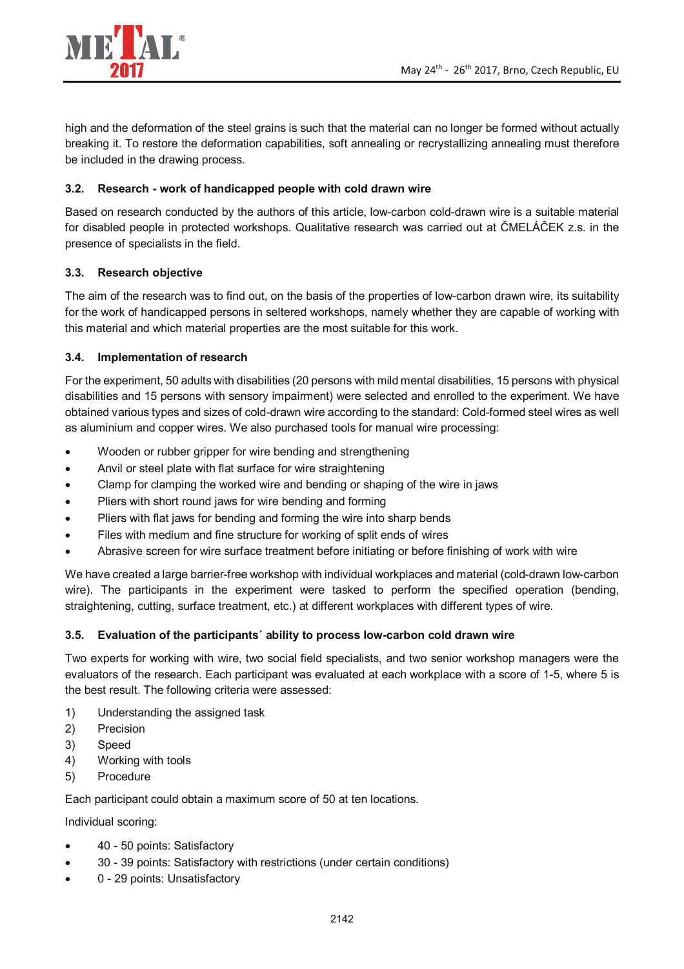

high and the deformation of the steel grains is such that the material can no longer be formed without actually breaking it. To restore the deformation capabilities, soft annealing or recrystallizing annealing must therefore be included in the drawing process.

#### **3.2. Research - work of handicapped people with cold drawn wire**

Based on research conducted by the authors of this article, low-carbon cold-drawn wire is a suitable material for disabled people in protected workshops. Qualitative research was carried out at ČMELÁČEK z.s. in the presence of specialists in the field.

#### **3.3. Research objective**

The aim of the research was to find out, on the basis of the properties of low-carbon drawn wire, its suitability for the work of handicapped persons in seltered workshops, namely whether they are capable of working with this material and which material properties are the most suitable for this work.

#### **3.4. Implementation of research**

For the experiment, 50 adults with disabilities (20 persons with mild mental disabilities, 15 persons with physical disabilities and 15 persons with sensory impairment) were selected and enrolled to the experiment. We have obtained various types and sizes of cold-drawn wire according to the standard: Cold-formed steel wires as well as aluminium and copper wires. We also purchased tools for manual wire processing:

- Wooden or rubber gripper for wire bending and strengthening
- Anvil or steel plate with flat surface for wire straightening
- Clamp for clamping the worked wire and bending or shaping of the wire in jaws
- Pliers with short round jaws for wire bending and forming
- Pliers with flat jaws for bending and forming the wire into sharp bends
- Files with medium and fine structure for working of split ends of wires
- Abrasive screen for wire surface treatment before initiating or before finishing of work with wire

We have created a large barrier-free workshop with individual workplaces and material (cold-drawn low-carbon wire). The participants in the experiment were tasked to perform the specified operation (bending, straightening, cutting, surface treatment, etc.) at different workplaces with different types of wire.

#### **3.5. Evaluation of the participants´ ability to process low-carbon cold drawn wire**

Two experts for working with wire, two social field specialists, and two senior workshop managers were the evaluators of the research. Each participant was evaluated at each workplace with a score of 1-5, where 5 is the best result. The following criteria were assessed:

- 1) Understanding the assigned task
- 2) Precision
- 3) Speed
- 4) Working with tools
- 5) Procedure

Each participant could obtain a maximum score of 50 at ten locations.

Individual scoring:

- 40 50 points: Satisfactory
- 30 39 points: Satisfactory with restrictions (under certain conditions)
- 0 29 points: Unsatisfactory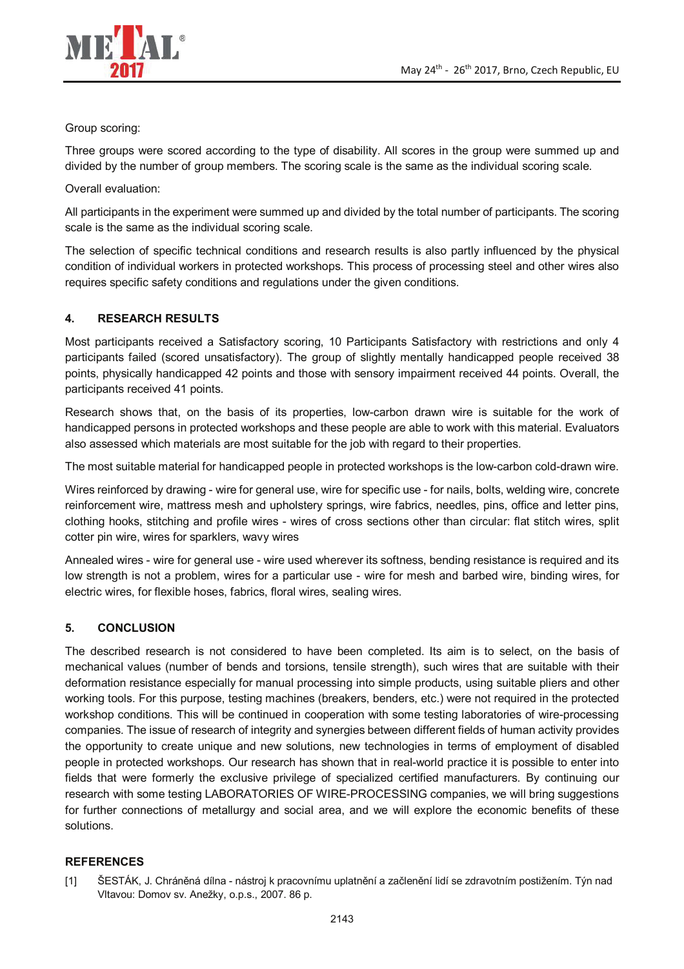

#### Group scoring:

Three groups were scored according to the type of disability. All scores in the group were summed up and divided by the number of group members. The scoring scale is the same as the individual scoring scale.

Overall evaluation:

All participants in the experiment were summed up and divided by the total number of participants. The scoring scale is the same as the individual scoring scale.

The selection of specific technical conditions and research results is also partly influenced by the physical condition of individual workers in protected workshops. This process of processing steel and other wires also requires specific safety conditions and regulations under the given conditions.

## **4. RESEARCH RESULTS**

Most participants received a Satisfactory scoring, 10 Participants Satisfactory with restrictions and only 4 participants failed (scored unsatisfactory). The group of slightly mentally handicapped people received 38 points, physically handicapped 42 points and those with sensory impairment received 44 points. Overall, the participants received 41 points.

Research shows that, on the basis of its properties, low-carbon drawn wire is suitable for the work of handicapped persons in protected workshops and these people are able to work with this material. Evaluators also assessed which materials are most suitable for the job with regard to their properties.

The most suitable material for handicapped people in protected workshops is the low-carbon cold-drawn wire.

Wires reinforced by drawing - wire for general use, wire for specific use - for nails, bolts, welding wire, concrete reinforcement wire, mattress mesh and upholstery springs, wire fabrics, needles, pins, office and letter pins, clothing hooks, stitching and profile wires - wires of cross sections other than circular: flat stitch wires, split cotter pin wire, wires for sparklers, wavy wires

Annealed wires - wire for general use - wire used wherever its softness, bending resistance is required and its low strength is not a problem, wires for a particular use - wire for mesh and barbed wire, binding wires, for electric wires, for flexible hoses, fabrics, floral wires, sealing wires.

## **5. CONCLUSION**

The described research is not considered to have been completed. Its aim is to select, on the basis of mechanical values (number of bends and torsions, tensile strength), such wires that are suitable with their deformation resistance especially for manual processing into simple products, using suitable pliers and other working tools. For this purpose, testing machines (breakers, benders, etc.) were not required in the protected workshop conditions. This will be continued in cooperation with some testing laboratories of wire-processing companies. The issue of research of integrity and synergies between different fields of human activity provides the opportunity to create unique and new solutions, new technologies in terms of employment of disabled people in protected workshops. Our research has shown that in real-world practice it is possible to enter into fields that were formerly the exclusive privilege of specialized certified manufacturers. By continuing our research with some testing LABORATORIES OF WIRE-PROCESSING companies, we will bring suggestions for further connections of metallurgy and social area, and we will explore the economic benefits of these solutions.

## **REFERENCES**

[1] ŠESTÁK, J. Chráněná dílna - nástroj k pracovnímu uplatnění a začlenění lidí se zdravotním postižením. Týn nad Vltavou: Domov sv. Anežky, o.p.s., 2007. 86 p.